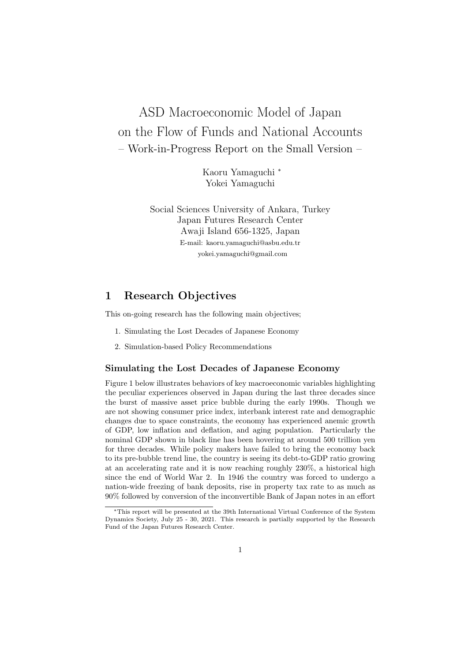# ASD Macroeconomic Model of Japan on the Flow of Funds and National Accounts – Work-in-Progress Report on the Small Version –

Kaoru Yamaguchi *<sup>∗</sup>* Yokei Yamaguchi

Social Sciences University of Ankara, Turkey Japan Futures Research Center Awaji Island 656-1325, Japan E-mail: kaoru.yamaguchi@asbu.edu.tr yokei.yamaguchi@gmail.com

## **1 Research Objectives**

This on-going research has the following main objectives;

- 1. Simulating the Lost Decades of Japanese Economy
- 2. Simulation-based Policy Recommendations

#### **Simulating the Lost Decades of Japanese Economy**

Figure 1 below illustrates behaviors of key macroeconomic variables highlighting the peculiar experiences observed in Japan during the last three decades since the burst of massive asset price bubble during the early 1990s. Though we are not showing consumer price index, interbank interest rate and demographic changes due to space constraints, the economy has experienced anemic growth of GDP, low inflation and deflation, and aging population. Particularly the nominal GDP shown in black line has been hovering at around 500 trillion yen for three decades. While policy makers have failed to bring the economy back to its pre-bubble trend line, the country is seeing its debt-to-GDP ratio growing at an accelerating rate and it is now reaching roughly 230%, a historical high since the end of World War 2. In 1946 the country was forced to undergo a nation-wide freezing of bank deposits, rise in property tax rate to as much as 90% followed by conversion of the inconvertible Bank of Japan notes in an effort

*<sup>∗</sup>*This report will be presented at the 39th International Virtual Conference of the System Dynamics Society, July 25 - 30, 2021. This research is partially supported by the Research Fund of the Japan Futures Research Center.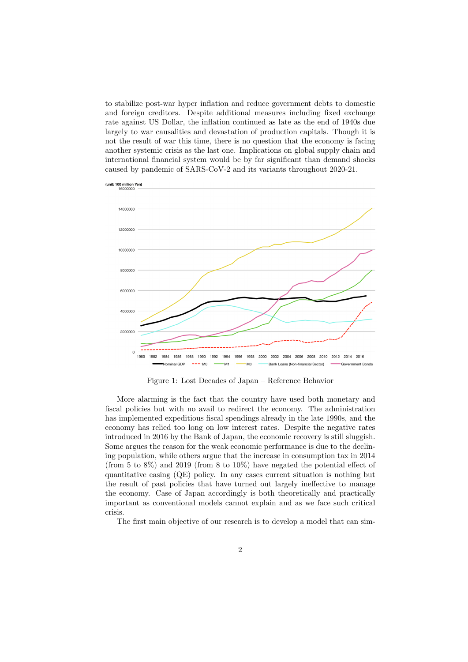to stabilize post-war hyper inflation and reduce government debts to domestic and foreign creditors. Despite additional measures including fixed exchange rate against US Dollar, the inflation continued as late as the end of 1940s due largely to war causalities and devastation of production capitals. Though it is not the result of war this time, there is no question that the economy is facing another systemic crisis as the last one. Implications on global supply chain and international financial system would be by far significant than demand shocks caused by pandemic of SARS-CoV-2 and its variants throughout 2020-21.



Figure 1: Lost Decades of Japan – Reference Behavior

More alarming is the fact that the country have used both monetary and fiscal policies but with no avail to redirect the economy. The administration has implemented expeditious fiscal spendings already in the late 1990s, and the economy has relied too long on low interest rates. Despite the negative rates introduced in 2016 by the Bank of Japan, the economic recovery is still sluggish. Some argues the reason for the weak economic performance is due to the declining population, while others argue that the increase in consumption tax in 2014 (from 5 to 8%) and 2019 (from 8 to 10%) have negated the potential effect of quantitative easing (QE) policy. In any cases current situation is nothing but the result of past policies that have turned out largely ineffective to manage the economy. Case of Japan accordingly is both theoretically and practically important as conventional models cannot explain and as we face such critical crisis.

The first main objective of our research is to develop a model that can sim-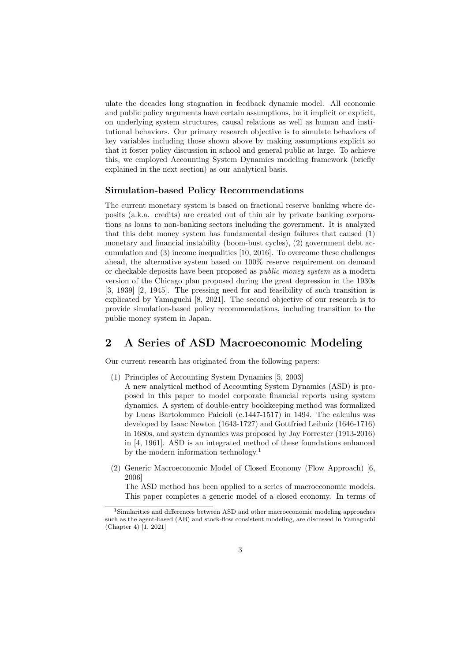ulate the decades long stagnation in feedback dynamic model. All economic and public policy arguments have certain assumptions, be it implicit or explicit, on underlying system structures, causal relations as well as human and institutional behaviors. Our primary research objective is to simulate behaviors of key variables including those shown above by making assumptions explicit so that it foster policy discussion in school and general public at large. To achieve this, we employed Accounting System Dynamics modeling framework (briefly explained in the next section) as our analytical basis.

#### **Simulation-based Policy Recommendations**

The current monetary system is based on fractional reserve banking where deposits (a.k.a. credits) are created out of thin air by private banking corporations as loans to non-banking sectors including the government. It is analyzed that this debt money system has fundamental design failures that caused (1) monetary and financial instability (boom-bust cycles), (2) government debt accumulation and (3) income inequalities [10, 2016]. To overcome these challenges ahead, the alternative system based on 100% reserve requirement on demand or checkable deposits have been proposed as *public money system* as a modern version of the Chicago plan proposed during the great depression in the 1930s [3, 1939] [2, 1945]. The pressing need for and feasibility of such transition is explicated by Yamaguchi [8, 2021]. The second objective of our research is to provide simulation-based policy recommendations, including transition to the public money system in Japan.

## **2 A Series of ASD Macroeconomic Modeling**

Our current research has originated from the following papers:

- (1) Principles of Accounting System Dynamics [5, 2003]
- A new analytical method of Accounting System Dynamics (ASD) is proposed in this paper to model corporate financial reports using system dynamics. A system of double-entry bookkeeping method was formalized by Lucas Bartolommeo Paicioli (c.1447-1517) in 1494. The calculus was developed by Isaac Newton (1643-1727) and Gottfried Leibniz (1646-1716) in 1680s, and system dynamics was proposed by Jay Forrester (1913-2016) in [4, 1961]. ASD is an integrated method of these foundations enhanced by the modern information technology.<sup>1</sup>
- (2) Generic Macroeconomic Model of Closed Economy (Flow Approach) [6, 2006]

The ASD method has been applied to a series of macroeconomic models. This paper completes a generic model of a closed economy. In terms of

<sup>&</sup>lt;sup>1</sup>Similarities and differences between ASD and other macroeconomic modeling approaches such as the agent-based (AB) and stock-flow consistent modeling, are discussed in Yamaguchi (Chapter 4) [1, 2021]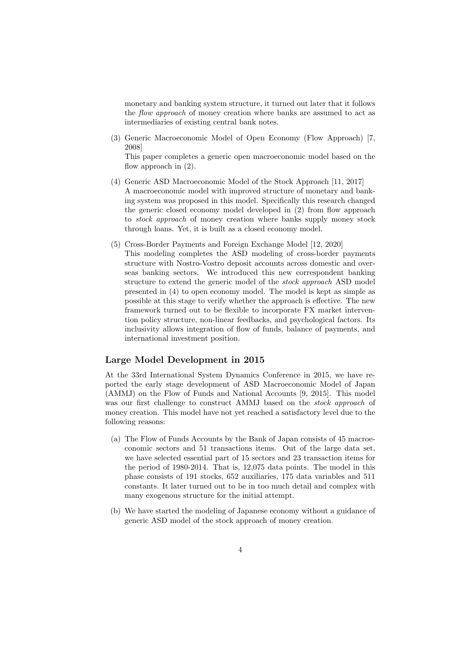monetary and banking system structure, it turned out later that it follows the *flow approach* of money creation where banks are assumed to act as intermediaries of existing central bank notes.

(3) Generic Macroeconomic Model of Open Economy (Flow Approach) [7, 2008]

This paper completes a generic open macroeconomic model based on the flow approach in (2).

- (4) Generic ASD Macroeconomic Model of the Stock Approach [11, 2017] A macroeconomic model with improved structure of monetary and banking system was proposed in this model. Specifically this research changed the generic closed economy model developed in (2) from flow approach to *stock approach* of money creation where banks supply money stock through loans. Yet, it is built as a closed economy model.
- (5) Cross-Border Payments and Foreign Exchange Model [12, 2020] This modeling completes the ASD modeling of cross-border payments structure with Nostro-Vostro deposit accounts across domestic and overseas banking sectors. We introduced this new correspondent banking structure to extend the generic model of the *stock approach* ASD model presented in (4) to open economy model. The model is kept as simple as possible at this stage to verify whether the approach is effective. The new framework turned out to be flexible to incorporate FX market intervention policy structure, non-linear feedbacks, and psychological factors. Its inclusivity allows integration of flow of funds, balance of payments, and international investment position.

#### **Large Model Development in 2015**

At the 33rd International System Dynamics Conference in 2015, we have reported the early stage development of ASD Macroeconomic Model of Japan (AMMJ) on the Flow of Funds and National Accounts [9, 2015]. This model was our first challenge to construct AMMJ based on the *stock approach* of money creation. This model have not yet reached a satisfactory level due to the following reasons:

- (a) The Flow of Funds Accounts by the Bank of Japan consists of 45 macroeconomic sectors and 51 transactions items. Out of the large data set, we have selected essential part of 15 sectors and 23 transaction items for the period of 1980-2014. That is, 12,075 data points. The model in this phase consists of 191 stocks, 652 auxiliaries, 175 data variables and 511 constants. It later turned out to be in too much detail and complex with many exogenous structure for the initial attempt.
- (b) We have started the modeling of Japanese economy without a guidance of generic ASD model of the stock approach of money creation.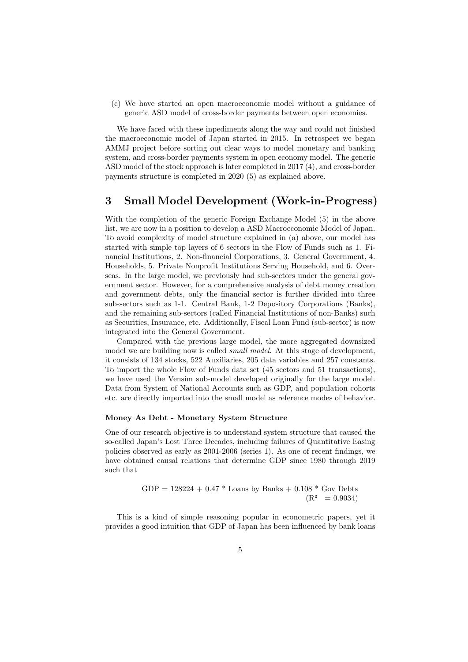(c) We have started an open macroeconomic model without a guidance of generic ASD model of cross-border payments between open economies.

We have faced with these inpediments along the way and could not finished the macroeconomic model of Japan started in 2015. In retrospect we began AMMJ project before sorting out clear ways to model monetary and banking system, and cross-border payments system in open economy model. The generic ASD model of the stock approach is later completed in 2017 (4), and cross-border payments structure is completed in 2020 (5) as explained above.

## **3 Small Model Development (Work-in-Progress)**

With the completion of the generic Foreign Exchange Model (5) in the above list, we are now in a position to develop a ASD Macroeconomic Model of Japan. To avoid complexity of model structure explained in (a) above, our model has started with simple top layers of 6 sectors in the Flow of Funds such as 1. Financial Institutions, 2. Non-financial Corporations, 3. General Government, 4. Households, 5. Private Nonprofit Institutions Serving Household, and 6. Overseas. In the large model, we previously had sub-sectors under the general government sector. However, for a comprehensive analysis of debt money creation and government debts, only the financial sector is further divided into three sub-sectors such as 1-1. Central Bank, 1-2 Depository Corporations (Banks), and the remaining sub-sectors (called Financial Institutions of non-Banks) such as Securities, Insurance, etc. Additionally, Fiscal Loan Fund (sub-sector) is now integrated into the General Government.

Compared with the previous large model, the more aggregated downsized model we are building now is called *small model*. At this stage of development, it consists of 134 stocks, 522 Auxiliaries, 205 data variables and 257 constants. To import the whole Flow of Funds data set (45 sectors and 51 transactions), we have used the Vensim sub-model developed originally for the large model. Data from System of National Accounts such as GDP, and population cohorts etc. are directly imported into the small model as reference modes of behavior.

#### **Money As Debt - Monetary System Structure**

One of our research objective is to understand system structure that caused the so-called Japan's Lost Three Decades, including failures of Quantitative Easing policies observed as early as 2001-2006 (series 1). As one of recent findings, we have obtained causal relations that determine GDP since 1980 through 2019 such that

GDP = 
$$
128224 + 0.47 *
$$
 Loans by Banks +  $0.108 *$  Gov Debts  
(R<sup>2</sup> = 0.9034)

This is a kind of simple reasoning popular in econometric papers, yet it provides a good intuition that GDP of Japan has been influenced by bank loans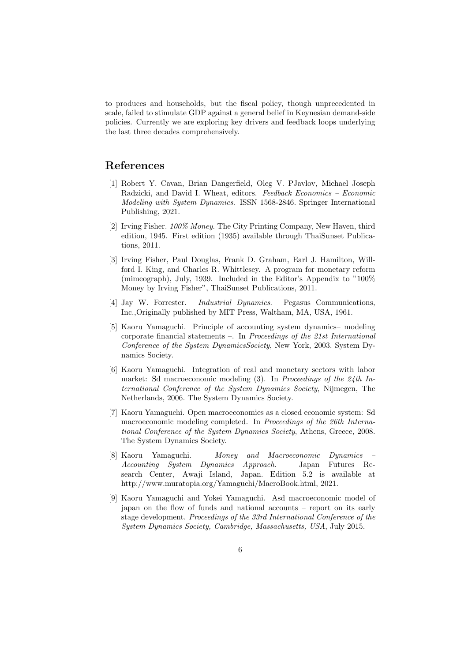to produces and households, but the fiscal policy, though unprecedented in scale, failed to stimulate GDP against a general belief in Keynesian demand-side policies. Currently we are exploring key drivers and feedback loops underlying the last three decades comprehensively.

## **References**

- [1] Robert Y. Cavan, Brian Dangerfield, Oleg V. PJavlov, Michael Joseph Radzicki, and David I. Wheat, editors. *Feedback Economics – Economic Modeling with System Dynamics*. ISSN 1568-2846. Springer International Publishing, 2021.
- [2] Irving Fisher. *100% Money*. The City Printing Company, New Haven, third edition, 1945. First edition (1935) available through ThaiSunset Publications, 2011.
- [3] Irving Fisher, Paul Douglas, Frank D. Graham, Earl J. Hamilton, Willford I. King, and Charles R. Whittlesey. A program for monetary reform (mimeograph), July, 1939. Included in the Editor's Appendix to "100% Money by Irving Fisher", ThaiSunset Publications, 2011.
- [4] Jay W. Forrester. *Industrial Dynamics*. Pegasus Communications, Inc.,Originally published by MIT Press, Waltham, MA, USA, 1961.
- [5] Kaoru Yamaguchi. Principle of accounting system dynamics– modeling corporate financial statements –. In *Proceedings of the 21st International Conference of the System DynamicsSociety*, New York, 2003. System Dynamics Society.
- [6] Kaoru Yamaguchi. Integration of real and monetary sectors with labor market: Sd macroeconomic modeling (3). In *Proceedings of the 24th International Conference of the System Dynamics Society*, Nijmegen, The Netherlands, 2006. The System Dynamics Society.
- [7] Kaoru Yamaguchi. Open macroeconomies as a closed economic system: Sd macroeconomic modeling completed. In *Proceedings of the 26th International Conference of the System Dynamics Society*, Athens, Greece, 2008. The System Dynamics Society.
- [8] Kaoru Yamaguchi. *Money and Macroeconomic Dynamics – Accounting System Dynamics Approach*. Japan Futures Research Center, Awaji Island, Japan. Edition 5.2 is available at http://www.muratopia.org/Yamaguchi/MacroBook.html, 2021.
- [9] Kaoru Yamaguchi and Yokei Yamaguchi. Asd macroeconomic model of japan on the flow of funds and national accounts – report on its early stage development. *Proceedings of the 33rd International Conference of the System Dynamics Society, Cambridge, Massachusetts, USA*, July 2015.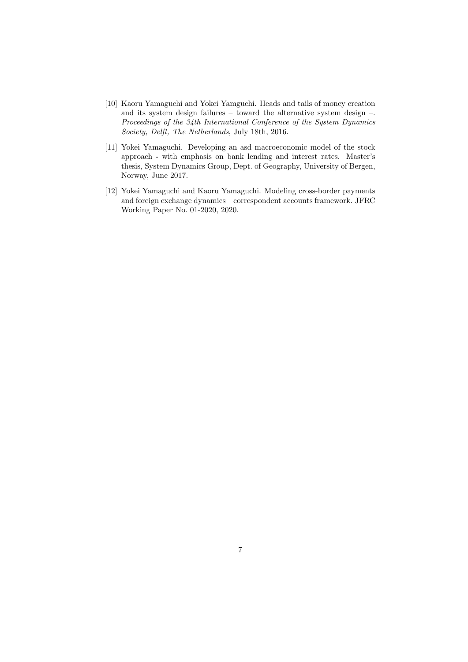- [10] Kaoru Yamaguchi and Yokei Yamguchi. Heads and tails of money creation and its system design failures – toward the alternative system design –. *Proceedings of the 34th International Conference of the System Dynamics Society, Delft, The Netherlands*, July 18th, 2016.
- [11] Yokei Yamaguchi. Developing an asd macroeconomic model of the stock approach - with emphasis on bank lending and interest rates. Master's thesis, System Dynamics Group, Dept. of Geography, University of Bergen, Norway, June 2017.
- [12] Yokei Yamaguchi and Kaoru Yamaguchi. Modeling cross-border payments and foreign exchange dynamics – correspondent accounts framework. JFRC Working Paper No. 01-2020, 2020.